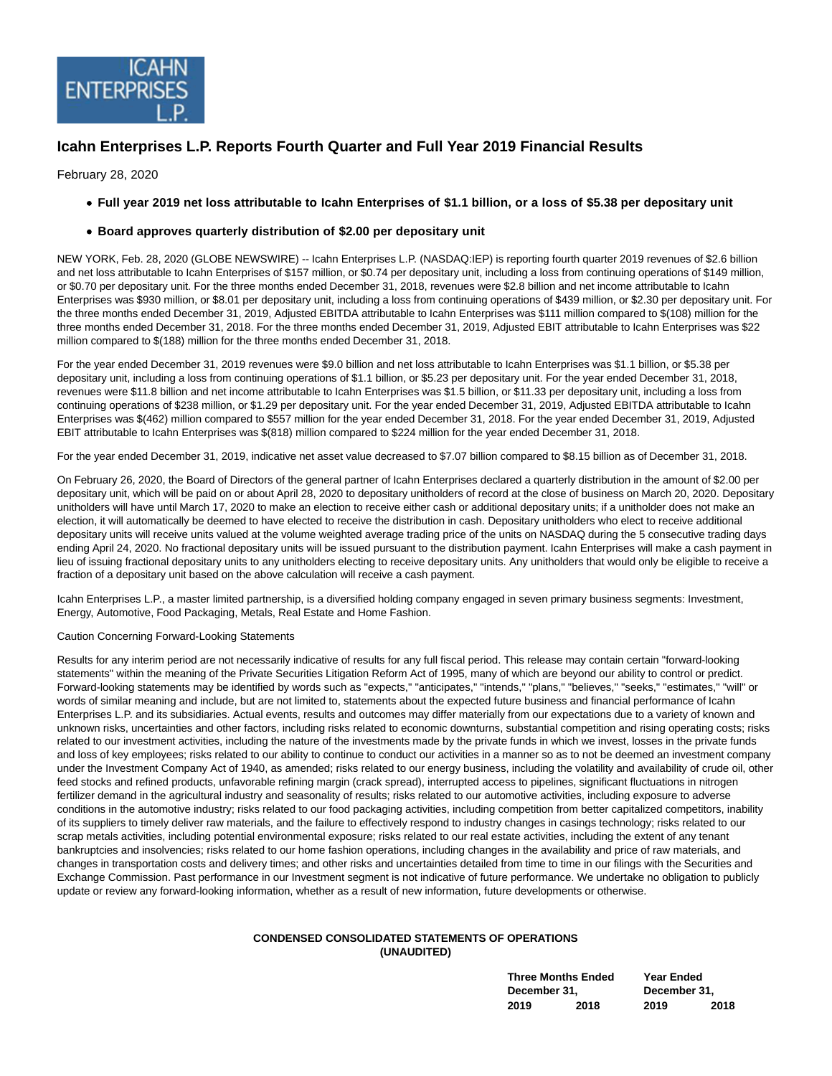

# **Icahn Enterprises L.P. Reports Fourth Quarter and Full Year 2019 Financial Results**

February 28, 2020

## **Full year 2019 net loss attributable to Icahn Enterprises of \$1.1 billion, or a loss of \$5.38 per depositary unit**

# **Board approves quarterly distribution of \$2.00 per depositary unit**

NEW YORK, Feb. 28, 2020 (GLOBE NEWSWIRE) -- Icahn Enterprises L.P. (NASDAQ:IEP) is reporting fourth quarter 2019 revenues of \$2.6 billion and net loss attributable to Icahn Enterprises of \$157 million, or \$0.74 per depositary unit, including a loss from continuing operations of \$149 million, or \$0.70 per depositary unit. For the three months ended December 31, 2018, revenues were \$2.8 billion and net income attributable to Icahn Enterprises was \$930 million, or \$8.01 per depositary unit, including a loss from continuing operations of \$439 million, or \$2.30 per depositary unit. For the three months ended December 31, 2019, Adjusted EBITDA attributable to Icahn Enterprises was \$111 million compared to \$(108) million for the three months ended December 31, 2018. For the three months ended December 31, 2019, Adjusted EBIT attributable to Icahn Enterprises was \$22 million compared to \$(188) million for the three months ended December 31, 2018.

For the year ended December 31, 2019 revenues were \$9.0 billion and net loss attributable to Icahn Enterprises was \$1.1 billion, or \$5.38 per depositary unit, including a loss from continuing operations of \$1.1 billion, or \$5.23 per depositary unit. For the year ended December 31, 2018, revenues were \$11.8 billion and net income attributable to Icahn Enterprises was \$1.5 billion, or \$11.33 per depositary unit, including a loss from continuing operations of \$238 million, or \$1.29 per depositary unit. For the year ended December 31, 2019, Adjusted EBITDA attributable to Icahn Enterprises was \$(462) million compared to \$557 million for the year ended December 31, 2018. For the year ended December 31, 2019, Adjusted EBIT attributable to Icahn Enterprises was \$(818) million compared to \$224 million for the year ended December 31, 2018.

For the year ended December 31, 2019, indicative net asset value decreased to \$7.07 billion compared to \$8.15 billion as of December 31, 2018.

On February 26, 2020, the Board of Directors of the general partner of Icahn Enterprises declared a quarterly distribution in the amount of \$2.00 per depositary unit, which will be paid on or about April 28, 2020 to depositary unitholders of record at the close of business on March 20, 2020. Depositary unitholders will have until March 17, 2020 to make an election to receive either cash or additional depositary units; if a unitholder does not make an election, it will automatically be deemed to have elected to receive the distribution in cash. Depositary unitholders who elect to receive additional depositary units will receive units valued at the volume weighted average trading price of the units on NASDAQ during the 5 consecutive trading days ending April 24, 2020. No fractional depositary units will be issued pursuant to the distribution payment. Icahn Enterprises will make a cash payment in lieu of issuing fractional depositary units to any unitholders electing to receive depositary units. Any unitholders that would only be eligible to receive a fraction of a depositary unit based on the above calculation will receive a cash payment.

Icahn Enterprises L.P., a master limited partnership, is a diversified holding company engaged in seven primary business segments: Investment, Energy, Automotive, Food Packaging, Metals, Real Estate and Home Fashion.

## Caution Concerning Forward-Looking Statements

Results for any interim period are not necessarily indicative of results for any full fiscal period. This release may contain certain "forward-looking statements" within the meaning of the Private Securities Litigation Reform Act of 1995, many of which are beyond our ability to control or predict. Forward-looking statements may be identified by words such as "expects," "anticipates," "intends," "plans," "believes," "seeks," "estimates," "will" or words of similar meaning and include, but are not limited to, statements about the expected future business and financial performance of Icahn Enterprises L.P. and its subsidiaries. Actual events, results and outcomes may differ materially from our expectations due to a variety of known and unknown risks, uncertainties and other factors, including risks related to economic downturns, substantial competition and rising operating costs; risks related to our investment activities, including the nature of the investments made by the private funds in which we invest, losses in the private funds and loss of key employees; risks related to our ability to continue to conduct our activities in a manner so as to not be deemed an investment company under the Investment Company Act of 1940, as amended; risks related to our energy business, including the volatility and availability of crude oil, other feed stocks and refined products, unfavorable refining margin (crack spread), interrupted access to pipelines, significant fluctuations in nitrogen fertilizer demand in the agricultural industry and seasonality of results; risks related to our automotive activities, including exposure to adverse conditions in the automotive industry; risks related to our food packaging activities, including competition from better capitalized competitors, inability of its suppliers to timely deliver raw materials, and the failure to effectively respond to industry changes in casings technology; risks related to our scrap metals activities, including potential environmental exposure; risks related to our real estate activities, including the extent of any tenant bankruptcies and insolvencies; risks related to our home fashion operations, including changes in the availability and price of raw materials, and changes in transportation costs and delivery times; and other risks and uncertainties detailed from time to time in our filings with the Securities and Exchange Commission. Past performance in our Investment segment is not indicative of future performance. We undertake no obligation to publicly update or review any forward-looking information, whether as a result of new information, future developments or otherwise.

## **CONDENSED CONSOLIDATED STATEMENTS OF OPERATIONS (UNAUDITED)**

|              | <b>Three Months Ended</b> |      | Year Ended   |  |  |  |  |  |  |
|--------------|---------------------------|------|--------------|--|--|--|--|--|--|
| December 31, |                           |      | December 31, |  |  |  |  |  |  |
| 2019         | 2018                      | 2019 | 2018         |  |  |  |  |  |  |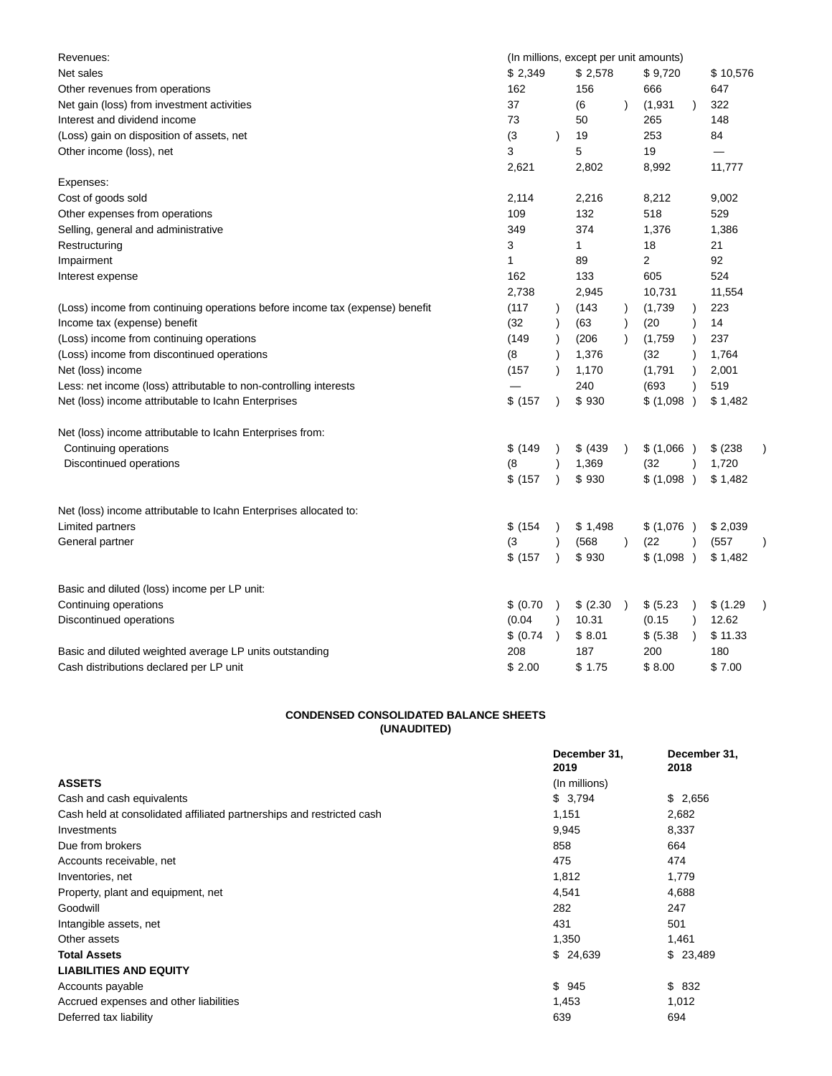| Revenues:                                                                    | (In millions, except per unit amounts) |               |           |               |                        |         |           |  |          |  |
|------------------------------------------------------------------------------|----------------------------------------|---------------|-----------|---------------|------------------------|---------|-----------|--|----------|--|
| Net sales                                                                    | \$2,349                                |               |           | \$2,578       |                        | \$9,720 |           |  | \$10,576 |  |
| Other revenues from operations                                               | 162                                    |               | 156       |               | 666                    |         | 647       |  |          |  |
| Net gain (loss) from investment activities                                   | 37                                     |               | (6)       | $\lambda$     | (1,931)<br>$\lambda$   |         | 322       |  |          |  |
| Interest and dividend income                                                 | 73                                     |               | 50        |               | 265                    |         | 148       |  |          |  |
| (Loss) gain on disposition of assets, net                                    | (3)                                    | $\mathcal{E}$ | 19        |               | 253                    |         | 84        |  |          |  |
| Other income (loss), net                                                     | 3                                      |               | 5         |               | 19                     |         |           |  |          |  |
|                                                                              | 2,621                                  |               | 2,802     |               | 8,992                  |         | 11,777    |  |          |  |
| Expenses:                                                                    |                                        |               |           |               |                        |         |           |  |          |  |
| Cost of goods sold                                                           | 2,114                                  |               | 2,216     |               | 8,212                  |         | 9,002     |  |          |  |
| Other expenses from operations                                               | 109                                    |               | 132       |               | 518                    |         | 529       |  |          |  |
| Selling, general and administrative                                          | 349                                    |               | 374       |               | 1,376                  |         | 1,386     |  |          |  |
| Restructuring                                                                | 3                                      |               | 1         |               | 18                     |         | 21        |  |          |  |
| Impairment                                                                   | 1                                      |               | 89        |               | 2                      |         | 92        |  |          |  |
| Interest expense                                                             | 162                                    |               | 133       |               | 605                    |         | 524       |  |          |  |
|                                                                              | 2,738                                  |               | 2,945     |               | 10,731                 |         | 11,554    |  |          |  |
| (Loss) income from continuing operations before income tax (expense) benefit | (117)                                  | $\lambda$     | (143)     | $\lambda$     | (1,739)                |         | 223       |  |          |  |
| Income tax (expense) benefit                                                 | (32)                                   | $\lambda$     | (63)      | $\lambda$     | (20)<br>$\mathcal{E}$  |         | 14        |  |          |  |
| (Loss) income from continuing operations                                     | (149                                   | $\lambda$     | (206)     | $\lambda$     | (1,759)                |         | 237       |  |          |  |
| (Loss) income from discontinued operations                                   | (8                                     |               | 1,376     |               | (32)<br>$\lambda$      |         | 1,764     |  |          |  |
| Net (loss) income                                                            | (157)                                  |               | 1,170     |               | (1,791)                |         | 2,001     |  |          |  |
| Less: net income (loss) attributable to non-controlling interests            |                                        |               | 240       |               | (693)<br>$\lambda$     |         | 519       |  |          |  |
| Net (loss) income attributable to Icahn Enterprises                          | \$ (157)                               | $\lambda$     | \$930     |               | \$(1,098)              |         | \$1,482   |  |          |  |
| Net (loss) income attributable to Icahn Enterprises from:                    |                                        |               |           |               |                        |         |           |  |          |  |
| Continuing operations                                                        | \$(149)                                |               | \$ (439)  | $\lambda$     | \$ (1,066)             |         | \$ (238)  |  |          |  |
| Discontinued operations                                                      | (8)                                    |               | 1,369     |               | (32)<br>$\lambda$      |         | 1,720     |  |          |  |
|                                                                              | \$ (157)                               | $\lambda$     | \$930     |               | \$ (1,098 )            |         | \$1,482   |  |          |  |
| Net (loss) income attributable to Icahn Enterprises allocated to:            |                                        |               |           |               |                        |         |           |  |          |  |
| Limited partners                                                             | \$ (154                                |               | \$1,498   |               | \$ (1,076)             |         | \$2,039   |  |          |  |
| General partner                                                              | (3)                                    |               | (568)     | $\lambda$     | (22)                   |         | (557)     |  |          |  |
|                                                                              | \$ (157)                               | $\lambda$     | \$930     |               | \$(1,098)<br>$\lambda$ |         | \$1,482   |  |          |  |
| Basic and diluted (loss) income per LP unit:                                 |                                        |               |           |               |                        |         |           |  |          |  |
| Continuing operations                                                        | \$ (0.70)                              | $\lambda$     | \$ (2.30) | $\rightarrow$ | \$ (5.23)              |         | \$ (1.29) |  |          |  |
| Discontinued operations                                                      | (0.04)                                 | $\lambda$     | 10.31     |               | (0.15)<br>$\lambda$    |         | 12.62     |  |          |  |
|                                                                              | \$ (0.74)                              |               | \$ 8.01   |               | \$ (5.38)              |         | \$11.33   |  |          |  |
| Basic and diluted weighted average LP units outstanding                      | 208                                    |               | 187       |               | 200                    |         | 180       |  |          |  |
| Cash distributions declared per LP unit                                      | \$2.00                                 |               | \$1.75    |               | \$8.00                 |         | \$7.00    |  |          |  |

### **CONDENSED CONSOLIDATED BALANCE SHEETS (UNAUDITED)**

|                                                                       | December 31,  | December 31. |
|-----------------------------------------------------------------------|---------------|--------------|
|                                                                       | 2019          | 2018         |
| <b>ASSETS</b>                                                         | (In millions) |              |
| Cash and cash equivalents                                             | \$3,794       | \$2,656      |
| Cash held at consolidated affiliated partnerships and restricted cash | 1,151         | 2,682        |
| Investments                                                           | 9,945         | 8,337        |
| Due from brokers                                                      | 858           | 664          |
| Accounts receivable, net                                              | 475           | 474          |
| Inventories, net                                                      | 1,812         | 1,779        |
| Property, plant and equipment, net                                    | 4,541         | 4,688        |
| Goodwill                                                              | 282           | 247          |
| Intangible assets, net                                                | 431           | 501          |
| Other assets                                                          | 1,350         | 1,461        |
| <b>Total Assets</b>                                                   | \$24,639      | \$23,489     |
| <b>LIABILITIES AND EQUITY</b>                                         |               |              |
| Accounts payable                                                      | \$945         | \$832        |
| Accrued expenses and other liabilities                                | 1,453         | 1,012        |
| Deferred tax liability                                                | 639           | 694          |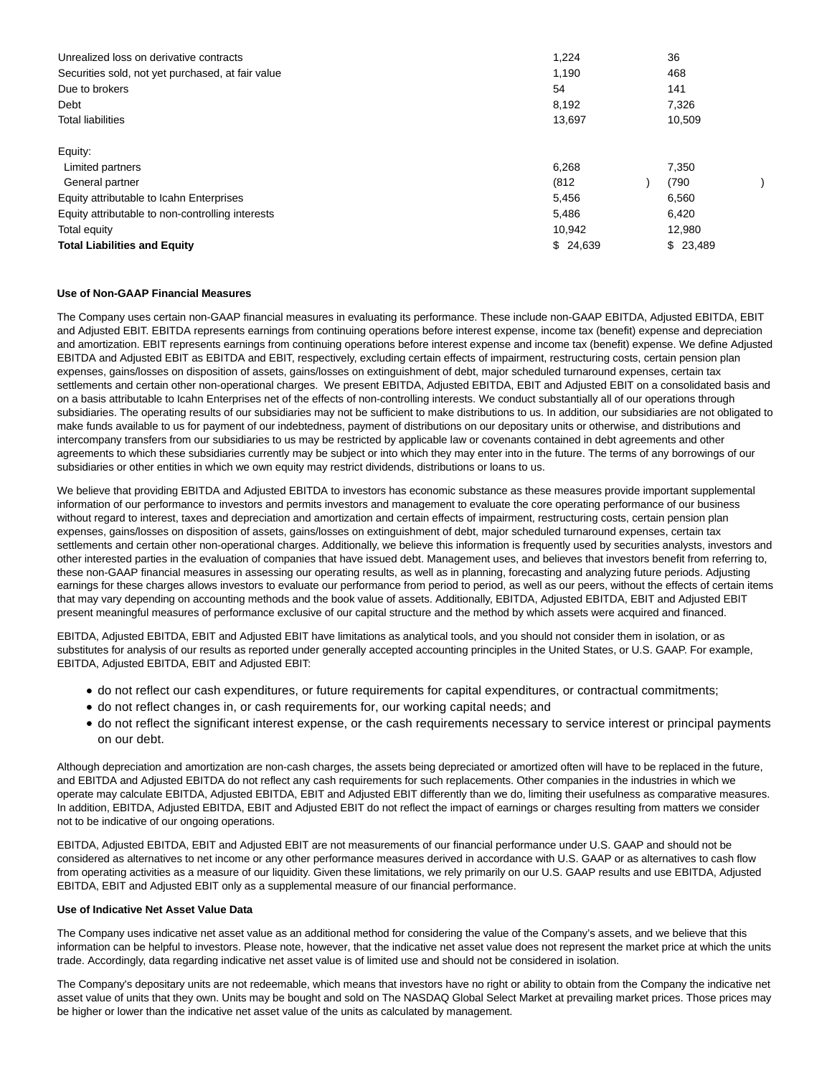| Unrealized loss on derivative contracts           | 1,224    | 36       |
|---------------------------------------------------|----------|----------|
| Securities sold, not yet purchased, at fair value | 1,190    | 468      |
| Due to brokers                                    | 54       | 141      |
| Debt                                              | 8,192    | 7,326    |
| <b>Total liabilities</b><br>13,697                |          | 10,509   |
| Equity:                                           |          |          |
| Limited partners                                  | 6,268    | 7,350    |
| General partner                                   | (812)    | (790)    |
| Equity attributable to Icahn Enterprises          | 5,456    | 6,560    |
| Equity attributable to non-controlling interests  | 5,486    | 6,420    |
| Total equity                                      | 10.942   | 12,980   |
| <b>Total Liabilities and Equity</b>               | \$24,639 | \$23,489 |

#### **Use of Non-GAAP Financial Measures**

The Company uses certain non-GAAP financial measures in evaluating its performance. These include non-GAAP EBITDA, Adjusted EBITDA, EBIT and Adjusted EBIT. EBITDA represents earnings from continuing operations before interest expense, income tax (benefit) expense and depreciation and amortization. EBIT represents earnings from continuing operations before interest expense and income tax (benefit) expense. We define Adjusted EBITDA and Adjusted EBIT as EBITDA and EBIT, respectively, excluding certain effects of impairment, restructuring costs, certain pension plan expenses, gains/losses on disposition of assets, gains/losses on extinguishment of debt, major scheduled turnaround expenses, certain tax settlements and certain other non-operational charges. We present EBITDA, Adjusted EBITDA, EBIT and Adjusted EBIT on a consolidated basis and on a basis attributable to Icahn Enterprises net of the effects of non-controlling interests. We conduct substantially all of our operations through subsidiaries. The operating results of our subsidiaries may not be sufficient to make distributions to us. In addition, our subsidiaries are not obligated to make funds available to us for payment of our indebtedness, payment of distributions on our depositary units or otherwise, and distributions and intercompany transfers from our subsidiaries to us may be restricted by applicable law or covenants contained in debt agreements and other agreements to which these subsidiaries currently may be subject or into which they may enter into in the future. The terms of any borrowings of our subsidiaries or other entities in which we own equity may restrict dividends, distributions or loans to us.

We believe that providing EBITDA and Adjusted EBITDA to investors has economic substance as these measures provide important supplemental information of our performance to investors and permits investors and management to evaluate the core operating performance of our business without regard to interest, taxes and depreciation and amortization and certain effects of impairment, restructuring costs, certain pension plan expenses, gains/losses on disposition of assets, gains/losses on extinguishment of debt, major scheduled turnaround expenses, certain tax settlements and certain other non-operational charges. Additionally, we believe this information is frequently used by securities analysts, investors and other interested parties in the evaluation of companies that have issued debt. Management uses, and believes that investors benefit from referring to, these non-GAAP financial measures in assessing our operating results, as well as in planning, forecasting and analyzing future periods. Adjusting earnings for these charges allows investors to evaluate our performance from period to period, as well as our peers, without the effects of certain items that may vary depending on accounting methods and the book value of assets. Additionally, EBITDA, Adjusted EBITDA, EBIT and Adjusted EBIT present meaningful measures of performance exclusive of our capital structure and the method by which assets were acquired and financed.

EBITDA, Adjusted EBITDA, EBIT and Adjusted EBIT have limitations as analytical tools, and you should not consider them in isolation, or as substitutes for analysis of our results as reported under generally accepted accounting principles in the United States, or U.S. GAAP. For example, EBITDA, Adjusted EBITDA, EBIT and Adjusted EBIT:

- do not reflect our cash expenditures, or future requirements for capital expenditures, or contractual commitments;
- do not reflect changes in, or cash requirements for, our working capital needs; and
- do not reflect the significant interest expense, or the cash requirements necessary to service interest or principal payments on our debt.

Although depreciation and amortization are non-cash charges, the assets being depreciated or amortized often will have to be replaced in the future, and EBITDA and Adjusted EBITDA do not reflect any cash requirements for such replacements. Other companies in the industries in which we operate may calculate EBITDA, Adjusted EBITDA, EBIT and Adjusted EBIT differently than we do, limiting their usefulness as comparative measures. In addition, EBITDA, Adjusted EBITDA, EBIT and Adjusted EBIT do not reflect the impact of earnings or charges resulting from matters we consider not to be indicative of our ongoing operations.

EBITDA, Adjusted EBITDA, EBIT and Adjusted EBIT are not measurements of our financial performance under U.S. GAAP and should not be considered as alternatives to net income or any other performance measures derived in accordance with U.S. GAAP or as alternatives to cash flow from operating activities as a measure of our liquidity. Given these limitations, we rely primarily on our U.S. GAAP results and use EBITDA, Adjusted EBITDA, EBIT and Adjusted EBIT only as a supplemental measure of our financial performance.

#### **Use of Indicative Net Asset Value Data**

The Company uses indicative net asset value as an additional method for considering the value of the Company's assets, and we believe that this information can be helpful to investors. Please note, however, that the indicative net asset value does not represent the market price at which the units trade. Accordingly, data regarding indicative net asset value is of limited use and should not be considered in isolation.

The Company's depositary units are not redeemable, which means that investors have no right or ability to obtain from the Company the indicative net asset value of units that they own. Units may be bought and sold on The NASDAQ Global Select Market at prevailing market prices. Those prices may be higher or lower than the indicative net asset value of the units as calculated by management.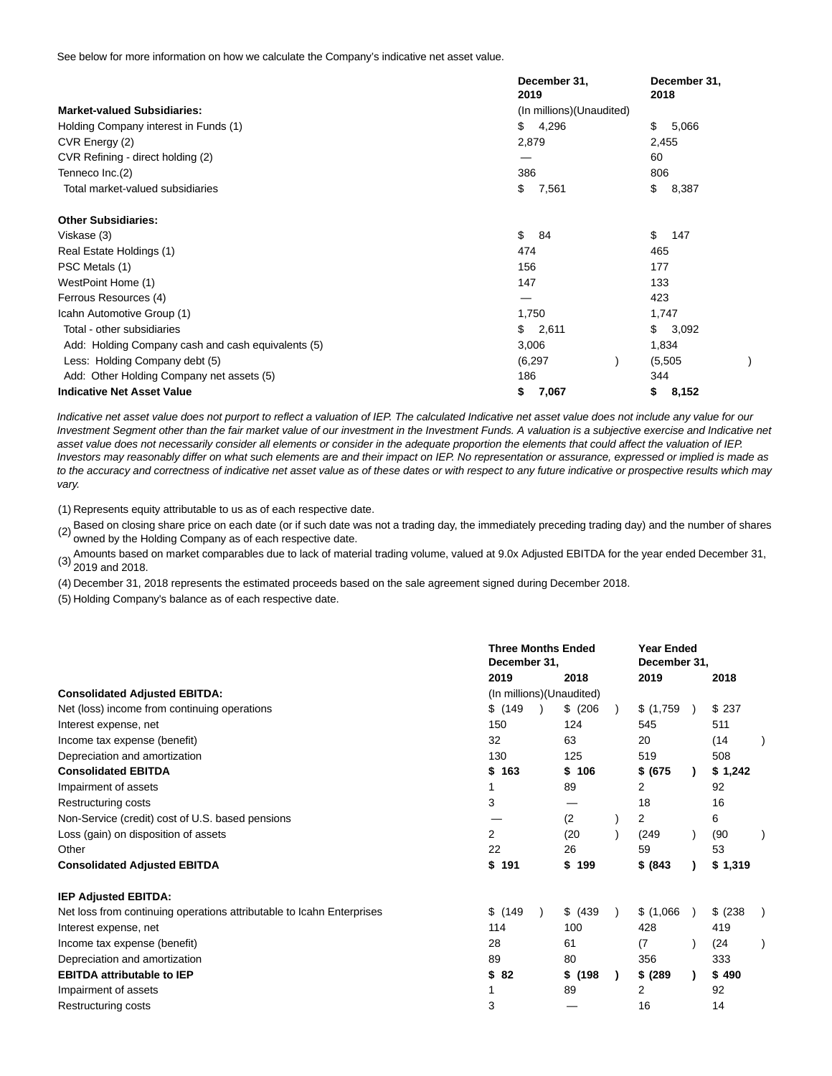See below for more information on how we calculate the Company's indicative net asset value.

|                                                    | December 31,<br>2019      | December 31,<br>2018 |
|----------------------------------------------------|---------------------------|----------------------|
| <b>Market-valued Subsidiaries:</b>                 | (In millions) (Unaudited) |                      |
| Holding Company interest in Funds (1)              | 4,296<br>S.               | \$<br>5,066          |
| CVR Energy (2)                                     | 2,879                     | 2,455                |
| CVR Refining - direct holding (2)                  |                           | 60                   |
| Tenneco Inc.(2)                                    | 386                       | 806                  |
| Total market-valued subsidiaries<br>\$<br>7,561    |                           | \$<br>8,387          |
| <b>Other Subsidiaries:</b>                         |                           |                      |
| Viskase (3)                                        | \$<br>84                  | \$<br>147            |
| Real Estate Holdings (1)                           | 474                       | 465                  |
| PSC Metals (1)                                     | 156                       | 177                  |
| WestPoint Home (1)                                 | 147                       | 133                  |
| Ferrous Resources (4)                              |                           | 423                  |
| Icahn Automotive Group (1)                         | 1,750                     | 1,747                |
| Total - other subsidiaries                         | 2,611<br>\$               | \$<br>3,092          |
| Add: Holding Company cash and cash equivalents (5) | 3,006                     | 1,834                |
| Less: Holding Company debt (5)                     | (6, 297)                  | (5,505)              |
| Add: Other Holding Company net assets (5)          | 186                       | 344                  |
| <b>Indicative Net Asset Value</b>                  | 7,067<br>\$               | \$<br>8,152          |

Indicative net asset value does not purport to reflect a valuation of IEP. The calculated Indicative net asset value does not include any value for our Investment Segment other than the fair market value of our investment in the Investment Funds. A valuation is a subjective exercise and Indicative net asset value does not necessarily consider all elements or consider in the adequate proportion the elements that could affect the valuation of IEP. Investors may reasonably differ on what such elements are and their impact on IEP. No representation or assurance, expressed or implied is made as to the accuracy and correctness of indicative net asset value as of these dates or with respect to any future indicative or prospective results which may vary.

(1) Represents equity attributable to us as of each respective date.

(2) Based on closing share price on each date (or if such date was not a trading day, the immediately preceding trading day) and the number of shares owned by the Holding Company as of each respective date.

(3) Amounts based on market comparables due to lack of material trading volume, valued at 9.0x Adjusted EBITDA for the year ended December 31, 2019 and 2018.

(4) December 31, 2018 represents the estimated proceeds based on the sale agreement signed during December 2018.

(5) Holding Company's balance as of each respective date.

|                                                                       | <b>Three Months Ended</b><br>December 31, |           |  | <b>Year Ended</b><br>December 31, |  |          |  |  |
|-----------------------------------------------------------------------|-------------------------------------------|-----------|--|-----------------------------------|--|----------|--|--|
|                                                                       | 2019                                      | 2018      |  | 2019                              |  | 2018     |  |  |
| <b>Consolidated Adjusted EBITDA:</b>                                  | (In millions) (Unaudited)                 |           |  |                                   |  |          |  |  |
| Net (loss) income from continuing operations                          | \$(149)                                   | \$ (206)  |  | \$(1,759)                         |  | \$237    |  |  |
| Interest expense, net                                                 | 150                                       | 124       |  | 545                               |  | 511      |  |  |
| Income tax expense (benefit)                                          | 32                                        | 63        |  | 20                                |  | (14)     |  |  |
| Depreciation and amortization                                         | 130                                       | 125       |  | 519                               |  | 508      |  |  |
| <b>Consolidated EBITDA</b>                                            | \$<br>163                                 | \$<br>106 |  | \$(675                            |  | \$1,242  |  |  |
| Impairment of assets                                                  |                                           | 89        |  | 2                                 |  | 92       |  |  |
| Restructuring costs                                                   | 3                                         | –         |  | 18                                |  | 16       |  |  |
| Non-Service (credit) cost of U.S. based pensions                      |                                           | (2)       |  | 2                                 |  | 6        |  |  |
| Loss (gain) on disposition of assets                                  | $\overline{2}$                            | (20)      |  | (249                              |  | (90)     |  |  |
| Other                                                                 | 22                                        | 26        |  | 59                                |  | 53       |  |  |
| <b>Consolidated Adjusted EBITDA</b>                                   | \$<br>191                                 | \$<br>199 |  | \$ (843)                          |  | \$1,319  |  |  |
| <b>IEP Adjusted EBITDA:</b>                                           |                                           |           |  |                                   |  |          |  |  |
| Net loss from continuing operations attributable to Icahn Enterprises | \$(149)                                   | \$ (439)  |  | \$(1,066)                         |  | \$ (238) |  |  |
| Interest expense, net                                                 | 114                                       | 100       |  | 428                               |  | 419      |  |  |
| Income tax expense (benefit)                                          | 28                                        | 61        |  | (7                                |  | (24)     |  |  |
| Depreciation and amortization                                         | 89                                        | 80        |  | 356                               |  | 333      |  |  |
| <b>EBITDA attributable to IEP</b>                                     | \$<br>-82                                 | \$ (198)  |  | \$<br>(289                        |  | \$490    |  |  |
| Impairment of assets                                                  |                                           | 89        |  | 2                                 |  | 92       |  |  |
| Restructuring costs                                                   | 3                                         |           |  | 16                                |  | 14       |  |  |